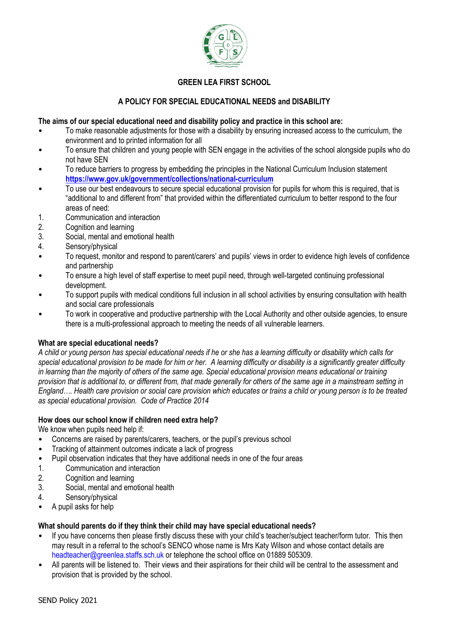

# **GREEN LEA FIRST SCHOOL**

## **A POLICY FOR SPECIAL EDUCATIONAL NEEDS and DISABILITY**

#### **The aims of our special educational need and disability policy and practice in this school are:**

- To make reasonable adjustments for those with a disability by ensuring increased access to the curriculum, the environment and to printed information for all
- To ensure that children and young people with SEN engage in the activities of the school alongside pupils who do not have SEN
- To reduce barriers to progress by embedding the principles in the National Curriculum Inclusion statement **https://www.gov.uk/government/collections/national-curriculum**
- To use our best endeavours to secure special educational provision for pupils for whom this is required, that is "additional to and different from" that provided within the differentiated curriculum to better respond to the four areas of need:
- 1. Communication and interaction
- 2. Cognition and learning
- 3. Social, mental and emotional health
- 4. Sensory/physical
- To request, monitor and respond to parent/carers' and pupils' views in order to evidence high levels of confidence and partnership
- To ensure a high level of staff expertise to meet pupil need, through well-targeted continuing professional development.
- To support pupils with medical conditions full inclusion in all school activities by ensuring consultation with health and social care professionals
- To work in cooperative and productive partnership with the Local Authority and other outside agencies, to ensure there is a multi-professional approach to meeting the needs of all vulnerable learners.

#### **What are special educational needs?**

*A child or young person has special educational needs if he or she has a learning difficulty or disability which calls for special educational provision to be made for him or her. A learning difficulty or disability is a significantly greater difficulty in learning than the majority of others of the same age. Special educational provision means educational or training provision that is additional to, or different from, that made generally for others of the same age in a mainstream setting in England…. Health care provision or social care provision which educates or trains a child or young person is to be treated as special educational provision. Code of Practice 2014* 

#### **How does our school know if children need extra help?**

We know when pupils need help if:

- Concerns are raised by parents/carers, teachers, or the pupil's previous school
- Tracking of attainment outcomes indicate a lack of progress
- Pupil observation indicates that they have additional needs in one of the four areas
- 1. Communication and interaction
- 2. Cognition and learning
- 3. Social, mental and emotional health
- 4. Sensory/physical
- A pupil asks for help

### **What should parents do if they think their child may have special educational needs?**

- If you have concerns then please firstly discuss these with your child's teacher/subject teacher/form tutor. This then may result in a referral to the school's SENCO whose name is Mrs Katy Wilson and whose contact details are headteacher@greenlea.staffs.sch.uk or telephone the school office on 01889 505309.
- All parents will be listened to. Their views and their aspirations for their child will be central to the assessment and provision that is provided by the school.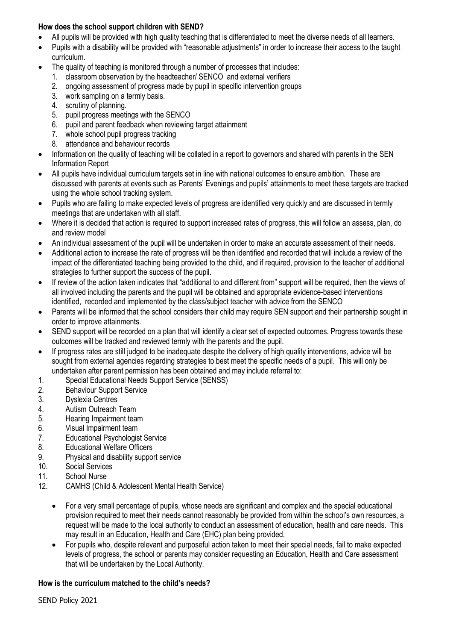## **How does the school support children with SEND?**

- All pupils will be provided with high quality teaching that is differentiated to meet the diverse needs of all learners.
- Pupils with a disability will be provided with "reasonable adjustments" in order to increase their access to the taught curriculum.
- The quality of teaching is monitored through a number of processes that includes:
	- 1. classroom observation by the headteacher/ SENCO and external verifiers
	- 2. ongoing assessment of progress made by pupil in specific intervention groups
	- 3. work sampling on a termly basis.
	- 4. scrutiny of planning.
	- 5. pupil progress meetings with the SENCO
	- 6. pupil and parent feedback when reviewing target attainment
	- 7. whole school pupil progress tracking
	- 8. attendance and behaviour records
- Information on the quality of teaching will be collated in a report to governors and shared with parents in the SEN Information Report
- All pupils have individual curriculum targets set in line with national outcomes to ensure ambition. These are discussed with parents at events such as Parents' Evenings and pupils' attainments to meet these targets are tracked using the whole school tracking system.
- Pupils who are failing to make expected levels of progress are identified very quickly and are discussed in termly meetings that are undertaken with all staff.
- Where it is decided that action is required to support increased rates of progress, this will follow an assess, plan, do and review model
- An individual assessment of the pupil will be undertaken in order to make an accurate assessment of their needs.
- Additional action to increase the rate of progress will be then identified and recorded that will include a review of the impact of the differentiated teaching being provided to the child, and if required, provision to the teacher of additional strategies to further support the success of the pupil.
- If review of the action taken indicates that "additional to and different from" support will be required, then the views of all involved including the parents and the pupil will be obtained and appropriate evidence-based interventions identified, recorded and implemented by the class/subject teacher with advice from the SENCO
- Parents will be informed that the school considers their child may require SEN support and their partnership sought in order to improve attainments.
- SEND support will be recorded on a plan that will identify a clear set of expected outcomes. Progress towards these outcomes will be tracked and reviewed termly with the parents and the pupil.
- If progress rates are still judged to be inadequate despite the delivery of high quality interventions, advice will be sought from external agencies regarding strategies to best meet the specific needs of a pupil. This will only be undertaken after parent permission has been obtained and may include referral to:
- 1. Special Educational Needs Support Service (SENSS)
- 2. Behaviour Support Service
- 3. Dyslexia Centres
- 4. Autism Outreach Team
- 5. Hearing Impairment team
- 6. Visual Impairment team
- 7. Educational Psychologist Service
- 8. Educational Welfare Officers
- 9. Physical and disability support service
- 10. Social Services
- 11. School Nurse
- 12. CAMHS (Child & Adolescent Mental Health Service)
	- For a very small percentage of pupils, whose needs are significant and complex and the special educational provision required to meet their needs cannot reasonably be provided from within the school's own resources, a request will be made to the local authority to conduct an assessment of education, health and care needs. This may result in an Education, Health and Care (EHC) plan being provided.
	- For pupils who, despite relevant and purposeful action taken to meet their special needs, fail to make expected levels of progress, the school or parents may consider requesting an Education, Health and Care assessment that will be undertaken by the Local Authority.

### **How is the curriculum matched to the child's needs?**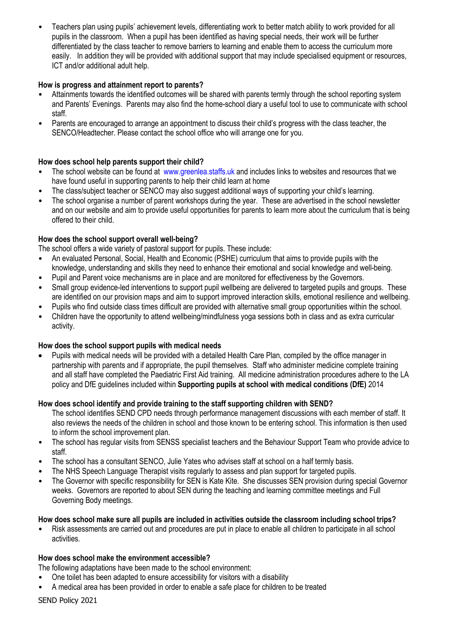• Teachers plan using pupils' achievement levels, differentiating work to better match ability to work provided for all pupils in the classroom. When a pupil has been identified as having special needs, their work will be further differentiated by the class teacher to remove barriers to learning and enable them to access the curriculum more easily. In addition they will be provided with additional support that may include specialised equipment or resources, ICT and/or additional adult help.

## **How is progress and attainment report to parents?**

- Attainments towards the identified outcomes will be shared with parents termly through the school reporting system and Parents' Evenings. Parents may also find the home-school diary a useful tool to use to communicate with school staff.
- Parents are encouraged to arrange an appointment to discuss their child's progress with the class teacher, the SENCO/Headtecher. Please contact the school office who will arrange one for you.

## **How does school help parents support their child?**

- The school website can be found at www.greenlea.staffs.uk and includes links to websites and resources that we have found useful in supporting parents to help their child learn at home
- The class/subject teacher or SENCO may also suggest additional ways of supporting your child's learning.
- The school organise a number of parent workshops during the year. These are advertised in the school newsletter and on our website and aim to provide useful opportunities for parents to learn more about the curriculum that is being offered to their child.

## **How does the school support overall well-being?**

The school offers a wide variety of pastoral support for pupils. These include:

- An evaluated Personal, Social, Health and Economic (PSHE) curriculum that aims to provide pupils with the knowledge, understanding and skills they need to enhance their emotional and social knowledge and well-being.
- Pupil and Parent voice mechanisms are in place and are monitored for effectiveness by the Governors.
- Small group evidence-led interventions to support pupil wellbeing are delivered to targeted pupils and groups. These are identified on our provision maps and aim to support improved interaction skills, emotional resilience and wellbeing.
- Pupils who find outside class times difficult are provided with alternative small group opportunities within the school.
- Children have the opportunity to attend wellbeing/mindfulness yoga sessions both in class and as extra curricular activity.

### **How does the school support pupils with medical needs**

• Pupils with medical needs will be provided with a detailed Health Care Plan, compiled by the office manager in partnership with parents and if appropriate, the pupil themselves. Staff who administer medicine complete training and all staff have completed the Paediatric First Aid training. All medicine administration procedures adhere to the LA policy and DfE guidelines included within **Supporting pupils at school with medical conditions (DfE)** 2014

### **How does school identify and provide training to the staff supporting children with SEND?**

The school identifies SEND CPD needs through performance management discussions with each member of staff. It also reviews the needs of the children in school and those known to be entering school. This information is then used to inform the school improvement plan.

- The school has regular visits from SENSS specialist teachers and the Behaviour Support Team who provide advice to staff.
- The school has a consultant SENCO, Julie Yates who advises staff at school on a half termly basis.
- The NHS Speech Language Therapist visits regularly to assess and plan support for targeted pupils.
- The Governor with specific responsibility for SEN is Kate Kite. She discusses SEN provision during special Governor weeks. Governors are reported to about SEN during the teaching and learning committee meetings and Full Governing Body meetings.

### **How does school make sure all pupils are included in activities outside the classroom including school trips?**

• Risk assessments are carried out and procedures are put in place to enable all children to participate in all school activities.

### **How does school make the environment accessible?**

The following adaptations have been made to the school environment:

- One toilet has been adapted to ensure accessibility for visitors with a disability
- A medical area has been provided in order to enable a safe place for children to be treated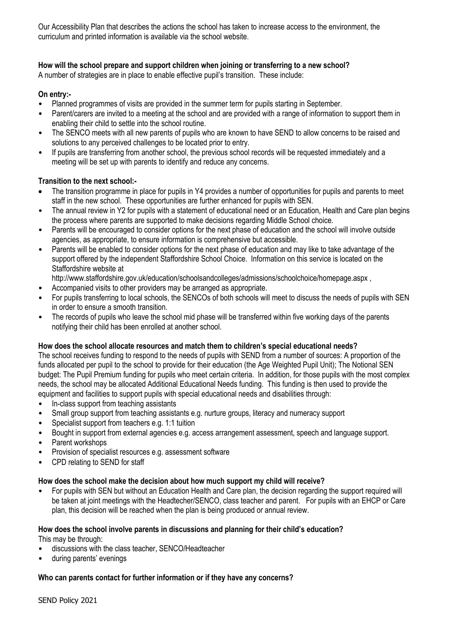Our Accessibility Plan that describes the actions the school has taken to increase access to the environment, the curriculum and printed information is available via the school website.

## **How will the school prepare and support children when joining or transferring to a new school?**

A number of strategies are in place to enable effective pupil's transition. These include:

#### **On entry:-**

- Planned programmes of visits are provided in the summer term for pupils starting in September.
- Parent/carers are invited to a meeting at the school and are provided with a range of information to support them in enabling their child to settle into the school routine.
- The SENCO meets with all new parents of pupils who are known to have SEND to allow concerns to be raised and solutions to any perceived challenges to be located prior to entry.
- If pupils are transferring from another school, the previous school records will be requested immediately and a meeting will be set up with parents to identify and reduce any concerns.

### **Transition to the next school:-**

- The transition programme in place for pupils in Y4 provides a number of opportunities for pupils and parents to meet staff in the new school. These opportunities are further enhanced for pupils with SEN.
- The annual review in Y2 for pupils with a statement of educational need or an Education, Health and Care plan begins the process where parents are supported to make decisions regarding Middle School choice.
- Parents will be encouraged to consider options for the next phase of education and the school will involve outside agencies, as appropriate, to ensure information is comprehensive but accessible.
- Parents will be enabled to consider options for the next phase of education and may like to take advantage of the support offered by the independent Staffordshire School Choice. Information on this service is located on the Staffordshire website at

http://www.staffordshire.gov.uk/education/schoolsandcolleges/admissions/schoolchoice/homepage.aspx ,

- Accompanied visits to other providers may be arranged as appropriate.
- For pupils transferring to local schools, the SENCOs of both schools will meet to discuss the needs of pupils with SEN in order to ensure a smooth transition.
- The records of pupils who leave the school mid phase will be transferred within five working days of the parents notifying their child has been enrolled at another school.

### **How does the school allocate resources and match them to children's special educational needs?**

The school receives funding to respond to the needs of pupils with SEND from a number of sources: A proportion of the funds allocated per pupil to the school to provide for their education (the Age Weighted Pupil Unit); The Notional SEN budget: The Pupil Premium funding for pupils who meet certain criteria. In addition, for those pupils with the most complex needs, the school may be allocated Additional Educational Needs funding. This funding is then used to provide the equipment and facilities to support pupils with special educational needs and disabilities through:

- In-class support from teaching assistants
- Small group support from teaching assistants e.g. nurture groups, literacy and numeracy support
- Specialist support from teachers e.g. 1:1 tuition
- Bought in support from external agencies e.g. access arrangement assessment, speech and language support.
- Parent workshops
- Provision of specialist resources e.g. assessment software
- CPD relating to SEND for staff

#### **How does the school make the decision about how much support my child will receive?**

• For pupils with SEN but without an Education Health and Care plan, the decision regarding the support required will be taken at joint meetings with the Headtecher/SENCO, class teacher and parent. For pupils with an EHCP or Care plan, this decision will be reached when the plan is being produced or annual review.

# **How does the school involve parents in discussions and planning for their child's education?**

This may be through:

- discussions with the class teacher, SENCO/Headteacher
- during parents' evenings

### **Who can parents contact for further information or if they have any concerns?**

SEND Policy 2021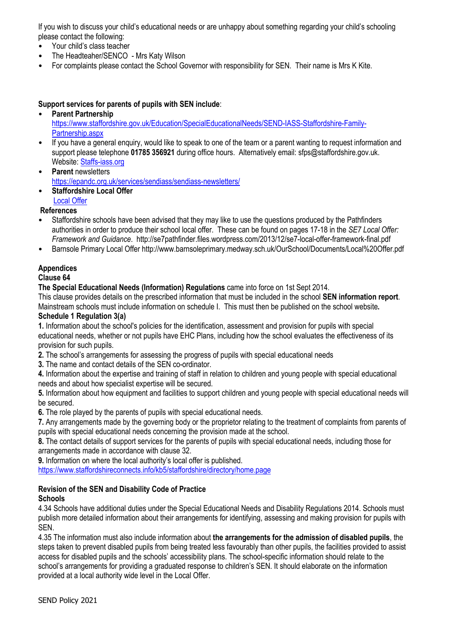If you wish to discuss your child's educational needs or are unhappy about something regarding your child's schooling please contact the following:

- Your child's class teacher
- The Headteaher/SENCO Mrs Katy Wilson
- For complaints please contact the School Governor with responsibility for SEN. Their name is Mrs K Kite.

## **Support services for parents of pupils with SEN include**:

#### • **Parent Partnership**

https://www.staffordshire.gov.uk/Education/SpecialEducationalNeeds/SEND-IASS-Staffordshire-Family-Partnership.aspx

- If you have a general enquiry, would like to speak to one of the team or a parent wanting to request information and support please telephone **01785 356921** during office hours. Alternatively email: sfps@staffordshire.gov.uk. Website: Staffs-iass.org
- **Parent** newsletters https://epandc.org.uk/services/sendiass/sendiass-newsletters/
- **Staffordshire Local Offer** Local Offer
- **References**
- Staffordshire schools have been advised that they may like to use the questions produced by the Pathfinders authorities in order to produce their school local offer. These can be found on pages 17-18 in the *SE7 Local Offer: Framework and Guidance*. http://se7pathfinder.files.wordpress.com/2013/12/se7-local-offer-framework-final.pdf
- Barnsole Primary Local Offer http://www.barnsoleprimary.medway.sch.uk/OurSchool/Documents/Local%20Offer.pdf

# **Appendices**

### **Clause 64**

### **The Special Educational Needs (Information) Regulations** came into force on 1st Sept 2014.

This clause provides details on the prescribed information that must be included in the school **SEN information report**. Mainstream schools must include information on schedule I. This must then be published on the school website**. Schedule 1 Regulation 3(a)** 

**1.** Information about the school's policies for the identification, assessment and provision for pupils with special educational needs, whether or not pupils have EHC Plans, including how the school evaluates the effectiveness of its provision for such pupils.

**2.** The school's arrangements for assessing the progress of pupils with special educational needs

**3.** The name and contact details of the SEN co-ordinator.

**4.** Information about the expertise and training of staff in relation to children and young people with special educational needs and about how specialist expertise will be secured.

**5.** Information about how equipment and facilities to support children and young people with special educational needs will be secured.

**6.** The role played by the parents of pupils with special educational needs.

**7.** Any arrangements made by the governing body or the proprietor relating to the treatment of complaints from parents of pupils with special educational needs concerning the provision made at the school.

**8.** The contact details of support services for the parents of pupils with special educational needs, including those for arrangements made in accordance with clause 32.

**9.** Information on where the local authority's local offer is published.

https://www.staffordshireconnects.info/kb5/staffordshire/directory/home.page

#### **Revision of the SEN and Disability Code of Practice Schools**

4.34 Schools have additional duties under the Special Educational Needs and Disability Regulations 2014. Schools must publish more detailed information about their arrangements for identifying, assessing and making provision for pupils with SEN.

4.35 The information must also include information about **the arrangements for the admission of disabled pupils**, the steps taken to prevent disabled pupils from being treated less favourably than other pupils, the facilities provided to assist access for disabled pupils and the schools' accessibility plans. The school-specific information should relate to the school's arrangements for providing a graduated response to children's SEN. It should elaborate on the information provided at a local authority wide level in the Local Offer.